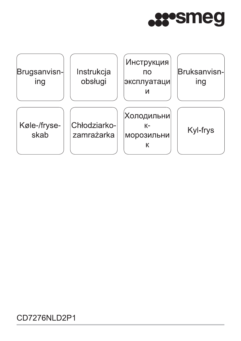



# CD7276NLD2P1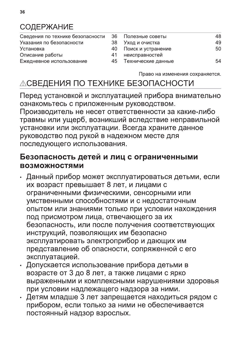## **СОДЕРЖАНИЕ**

| Сведения по технике безопасности 36 Полезные советы |    |                    | 48 |
|-----------------------------------------------------|----|--------------------|----|
| Указания по безопасности                            | 38 | Уход и очистка     | 49 |
| <b>Установка</b>                                    | 40 | Поиск и устранение | 50 |
| Описание работы                                     | 41 | неисправностей     |    |
| Ежедневное использование                            | 45 | Технические данные | 54 |
|                                                     |    |                    |    |

Право на изменения сохраняется.

# **ЛСВЕДЕНИЯ ПО ТЕХНИКЕ БЕЗОПАСНОСТИ**

Перед установкой и эксплуатацией прибора внимательно ознакомьтесь с приложенным руководством. Производитель не несет ответственности за какие-либо травмы или ущерб, возникший вследствие неправильной установки или эксплуатации. Всегда храните данное руководство под рукой в надежном месте для последующего использования.

## Безопасность детей и лиц с ограниченными **ВОЗМОЖНОСТЯМИ**

- Данный прибор может эксплуатироваться детьми, если их возраст превышает 8 лет, и лицами с ограниченными физическими, сенсорными или умственными способностями и с недостаточным опытом или знаниями только при условии нахождения под присмотром лица, отвечающего за их безопасность, или после получения соответствующих инструкций, позволяющих им безопасно эксплуатировать электроприбор и дающих им представление об опасности, сопряженной с его эксплуатацией.
- Допускается использование прибора детьми в возрасте от 3 до 8 лет, а также лицами с ярко выраженными и комплексными нарушениями здоровья при условии надлежащего надзора за ними.
- Детям младше 3 лет запрещается находиться рядом с прибором, если только за ними не обеспечивается постоянный надзор взрослых.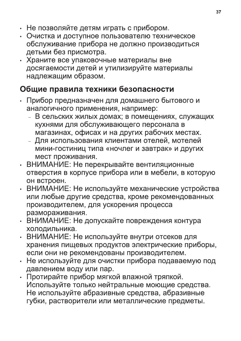- Не позволяйте детям играть с прибором.
- Очистка и доступное пользователю техническое обслуживание прибора не должно производиться детьми без присмотра.
- Храните все упаковочные материалы вне досягаемости детей и утилизируйте материалы надлежащим образом.

## Общие правила техники безопасности

- Прибор предназначен для домашнего бытового и аналогичного применения, например:
	- В сельских жилых домах; в помещениях, служащих кухнями для обслуживающего персонала в магазинах, офисах и на других рабочих местах.
	- Для использования клиентами отелей, мотелей мини-гостиниц типа «ночлег и завтрак» и других мест проживания.
- ВНИМАНИЕ: Не перекрывайте вентиляционные отверстия в корпусе прибора или в мебели, в которую он встроен.
- ВНИМАНИЕ: Не используйте механические устройства или любые другие средства, кроме рекомендованных производителем, для ускорения процесса размораживания.
- ВНИМАНИЕ: Не допускайте повреждения контура холодильника.
- ВНИМАНИЕ: Не используйте внутри отсеков для хранения пищевых продуктов электрические приборы, если они не рекомендованы производителем.
- Не используйте для очистки прибора подаваемую под давлением воду или пар.
- Протирайте прибор мягкой влажной тряпкой. Используйте только нейтральные моющие средства. Не используйте абразивные средства, абразивные губки, растворители или металлические предметы.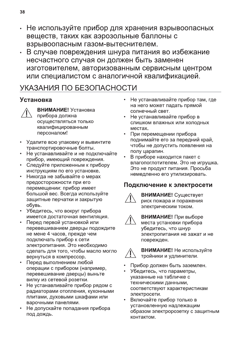- Не используйте прибор для хранения взрывоопасных веществ, таких как аэрозольные баллоны с взрывоопасным газом-вытеснителем.
- В случае повреждения шнура питания во избежание несчастного случая он должен быть заменен изготовителем, авторизованным сервисным центром или специалистом с аналогичной квалификацией.

# УКАЗАНИЯ ПО БЕЗОПАСНОСТИ

## **Установка**



ВНИМАНИЕ! Установка прибора должна осуществляться только квалифицированным персоналом!

- Удалите всю упаковку и вывинтите транспортировочные болты.
- Не устанавливайте и не подключайте прибор, имеющий повреждения.
- Следуйте приложенным к прибору инструкциям по его установке.
- Никогда не забывайте о мерах предосторожности при его перемещении: прибор имеет большой вес. Всегда используйте защитные перчатки и закрытую обувь.
- Убедитесь, что вокруг прибора имеется достаточная вентиляция.
- Перед первой установкой или перевешиванием дверцы подождите не мене 4 часов, прежде чем подключать прибор к сети электропитания. Это необходимо сделать для того, чтобы масло могло вернуться в компрессор.
- Перед выполнением любой операции с прибором (например, перевешивание дверцы) выньте вилку из сетевой розетки.
- Не устанавливайте прибор рядом с радиаторами отопления, кухонными плитами, духовыми шкафами или варочными панелями.
- Не допускайте попадания прибора под дождь.
- Не устанавливайте прибор там, где на него может падать прямой солнечный свет.
- Не устанавливайте прибор в слишком влажных или холодных местах.
- При перемещении прибора поднимайте его за передний край, чтобы не допустить появления на полу царапин.
- В приборе находится пакет с влагопоглотителем. Это не игрушка. Это не продукт питания. Просьба немедленно его утилизировать.

## Подключение к электросети



ВНИМАНИЕ! Существует риск пожара и поражения электрическим током.

ВНИМАНИЕ! При выборе места установки прибора убедитесь, что шнур электропитания не зажат и не поврежден.



ВНИМАНИЕ! Не используйте тройники и удлинители.

- Прибор должен быть заземлен.
- Убедитесь, что параметры, указанные на табличке с техническими данными, соответствуют характеристикам электросети.
- Включайте прибор только в установленную надлежащим образом электророзетку с защитным контактом.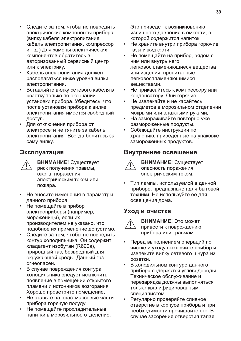- Следите за тем, чтобы не повредить электрические компоненты прибора (вилку кабеля электропитания, кабель электропитания, компрессор и т.д.) Для замены электрических компонентов обратитесь в авторизованный сервисный центр или к электрику.
- Кабель электропитания должен располагаться ниже уровня вилки электропитания.
- Вставляйте вилку сетевого кабеля в розетку только по окончании установки прибора. Убедитесь, что после установки прибора к вилке электропитания имеется свободный доступ.
- Для отключения прибора от электросети не тяните за кабель электропитания. Всегда беритесь за саму вилку.

#### Эксплуатация

**ВНИМАНИЕ!** Существует риск получения травмы, ожога, поражения электрическим током или пожара.

- Не вносите изменения в параметры данного прибора.
- Не помещайте в прибор электроприборы (например, мороженицы), если их производителем не указано, что подобное их применение допустимо.
- Следите за тем, чтобы не повредить  $\bullet$ контур холодильника. Он содержит хладагент изобутан (R600a), природный газ, безвредный для окружающей среды. Данный газ огнеопасен.
- В случае повреждения контура холодильника следует исключить появление в помещении открытого пламени и источников возгорания. Хорошо проветрите помещение.
- Не ставьте на пластмассовые части прибора горячую посуду.
- Не помещайте прохладительные напитки в морозильное отделение.

Это приведет к возникновению излишнего давления в емкости, в которой содержится напиток.

- Не храните внутри прибора горючие газы и жидкости.
- Не помещайте на прибор, рядом с ним или внутрь него легковоспламеняющиеся вещества или изделия, пропитанные легковоспламеняющимися веществами.
- Не прикасайтесь к компрессору или конденсатору. Они горячие.
- $\bullet$ Не извлекайте и не касайтесь предметов в морозильном отделении мокрыми или влажными руками.
- На замораживайте повторно уже размороженные продукты.
- Соблюдайте инструкции по хранению, приведенные на упаковке замороженных продуктов.

#### Внутреннее освещение



ВНИМАНИЕ! Существует опасность поражения электрическим током.

Тип лампы, используемой в данной приборе, предназначен для бытовой техники. Не используйте ее для освещения дома.

#### Уход и очистка



ВНИМАНИЕ! Это может привести к повреждению прибора или травмам.

- Перед выполнением операций по чистке и уходу выключите прибор и извлеките вилку сетевого шнура из розетки.
- В холодильном контуре данного прибора содержатся углеводороды. Техническое обслуживание и перезарядка должны выполняться только квалифицированным специалистом.
- Регулярно проверяйте сливное отверстие в корпусе прибора и при необходимости прочищайте его. В случае засорения отверстия талая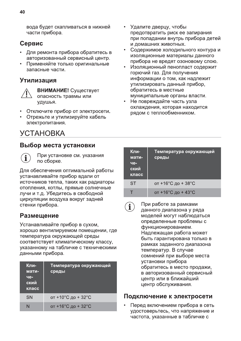вода будет скапливаться в нижней части прибора.

## Сервис

- Для ремонта прибора обратитесь в авторизованный сервисный центр.
- Применяйте только оригинальные запасные части.

### Утилизация



ВНИМАНИЕ! Существует опасность травмы или удушья.

- Отключите прибор от электросети.
- Отрежьте и утилизируйте кабель электропитания.

## **УСТАНОВКА**

#### Выбор места установки



При установке см. указания по сборке.

Для обеспечения оптимальной работы устанавливайте прибор вдали от источников тепла, таких как радиаторы отопления, котлы, прямые солнечные лучи и т.д. Убедитесь в свободной циркуляции воздуха вокруг задней стенки прибора.

## Размещение

Устанавливайте прибор в сухом. хорошо вентилируемом помещении, где температура окружающей среды соответствует климатическому классу, указанному на табличке с техническими данными прибора.

| Кли-<br>мати-<br>че-<br>ский<br>класс | Температура окружающей<br>среды |
|---------------------------------------|---------------------------------|
| SN                                    | от +10°С до + 32°С              |
| N                                     | от +16°С до + 32°С              |

- Удалите дверцу, чтобы предотвратить риск ее запирания при попадании внутрь прибора детей и домашних животных.
- Содержимое холодильного контура и изоляционные материалы данного прибора не вредят озоновому слою.
- Изоляционный пенопласт содержит горючий газ. Для получения информации о том, как надлежит утилизировать данный прибор, обратитесь в местные муниципальные органы власти.
- Не повреждайте часть узла охлаждения, которая находится рядом с теплообменником.

| Кли-<br>мати-<br>че-<br>ский<br>класс | Температура окружающей<br>среды |
|---------------------------------------|---------------------------------|
| ST                                    | от +16°С до + 38°С              |
|                                       | от +16°С до + 43°С              |

При работе за рамками  $\mathbf{\hat{i}}$ данного диапазона у ряда моделей могут наблюдаться определенные проблемы с функционированием. Надлежащая работа может быть гарантирована только в рамках заданного диапазона температур. В случае сомнений при выборе места установки прибора обратитесь в место продажи, в авторизованный сервисный центр или в ближайший центр обслуживания.

#### Подключение к электросети

Перед включением прибора в сеть удостоверьтесь, что напряжение и частота, указанные в табличке с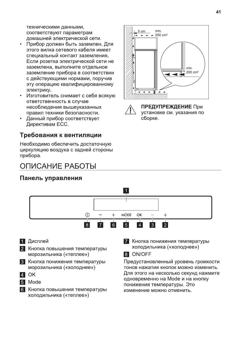техническими данными. соответствуют параметрам домашней электрической сети.

- Прибор должен быть заземлен. Для этого вилка сетевого кабеля имеет специальный контакт заземления. Если розетка электрической сети не заземлена, выполните отдельное заземление прибора в соответствии с действующими нормами, поручив эту операцию квалифицированному электрику.
- Изготовитель снимает с себя всякую ответственность в случае несоблюдения вышеуказанных правил техники безопасности.
- Данный прибор соответствует Директивам ЕСС.

## Требования к вентиляции

Необходимо обеспечить достаточную циркуляцию воздуха с задней стороны прибора.

## ОПИСАНИЕ РАБОТЫ

## Панель управления





ПРЕДУПРЕЖДЕНИЕ При установке см. указания по сборке.



- 1 Дисплей
- 2 Кнопка повышения температуры морозильника («теплее»)
- 3 Кнопка понижения температуры морозильника («холоднее»)
- **4 OK**
- 5 Mode
- 6 Кнопка повышения температуры холодильника («теплее»)

7 Кнопка понижения температуры холодильника («холоднее»)



Предустановленный уровень громкости тонов нажатия кнопок можно изменить. Для этого на несколько секунд нажмите одновременно на Mode и на кнопку понижения температуры. Это изменение можно отменить.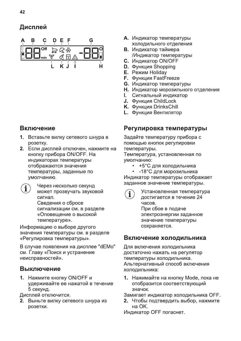

## Включение

- 1. Вставьте вилку сетевого шнура в розетку.
- 2. Если дисплей отключен, нажмите на кнопку прибора ON/OFF. На индикаторах температуры отображаются значения температуры, заданные по умолчанию.
	- Через несколько секунд может прозвучать звуковой сигнал. Сведения о сбросе сигнализации см. в разделе «Оповещение о высокой

температуре».

Информацию о выборе другого значения температуры см. в разделе «Регулировка температуры».

В случае появления на дисплее "dEMo" см. Главу «Поиск и устранение неисправностей».

## Выключение

1. Нажмите кнопку ON/OFF и удерживайте ее нажатой в течение 5 секунд.

Дисплей отключится.

2. Выньте вилку сетевого шнура из розетки.

- А. Индикатор температуры холодильного отделения
- В. Индикатор таймера /Индикатор температуры
- С. Индикатор ON/OFF
- **D.** Функция Shopping
- **Е.** Режим Holiday
- **F.** Функция FastFreeze
- **G.** Индикатор температуры
- Н. Индикатор морозильного отделения
- **І.** Сигнальный индикатор
- J. Функция ChildLock
- К. Функция DrinksChill
- **L.** Функция Вентилятор

### Регулировка температуры

Задайте температуру прибора с помощью кнопок регулировки температуры.

Температура, установленная по умолчанию:

• +5°С для холодильника

• -18°С для морозильника Индикатор температуры отображает заданное значение температуры.



Установленная температура достигается в течение 24 часов. При сбое в подаче электроэнергии заданное значение температуры сохраняется.

#### Включение холодильника

Для включения холодильника достаточно нажать на регулятор температуры холодильника. Альтернативный способ включения холодильника:

1. Нажимайте на кнопку Mode, пока не отобразится соответствующий значок.

Замигает индикатор холодильника ОFF.

2. Чтобы подтвердить выбор, нажмите на OK.

Индикатор ОГГ погаснет.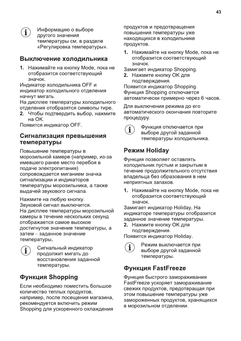

Информацию о выборе другого значения температуры см. в разделе «Регулировка температуры».

#### Выключение холодильника

1. Нажимайте на кнопку Mode, пока не отобразится соответствующий значок.

Индикатор холодильника ОГГ и индикатор холодильного отделения начнут мигать.

На дисплее температуры холодильного отделения отобразятся символы тире.

2. Чтобы подтвердить выбор, нажмите на OK.

Появится индикатор ОГГ.

#### Сигнализация превышения температуры

Повышение температуры в морозильной камере (например, из-за имевшего ранее место перебоя в подаче электропитания) сопровождается миганием значка сигнализации и индикаторов температуры морозильника, а также выдачей звукового сигнала.

Нажмите на любую кнопку. Звуковой сигнал выключится. На дисплее температуры морозильной камеры в течение нескольких секунд отображается самое высокое достигнутое значение температуры, а затем - заданное значение температуры.



Сигнальный индикатор продолжит мигать до восстановления заданной температуры.

## **Функция Shopping**

Если необходимо поместить большое количество теплых продуктов, например, после посещения магазина, рекомендуется включить режим Shopping для ускоренного охлаждения продуктов и предотвращения повышения температуры уже находящихся в холодильнике продуктов.

1. Нажимайте на кнопку Mode, пока не отобразится соответствующий значок.

Замигает индикатор Shopping.

2. Нажмите кнопку ОК для подтверждения.

Появится индикатор Shopping. Функция Shopping отключается автоматически примерно через 6 часов.

Для выключения режима до его автоматического окончания повторите процедуру.



Функция отключается при выборе другой заданной температуры холодильника.

## **Режим Holiday**

Функция позволяет оставлять холодильник пустым и закрытым в течение продолжительного отсутствия владельца без образования в нем неприятных запахов.

1. Нажимайте на кнопку Mode, пока не отобразится соответствующий значок.

Замигает индикатор Holiday. На индикаторе температуры отобразится заданное значение температуры.

2. Нажмите кнопку ОК для подтверждения.

Появится индикатор Holiday.



Режим выключается при выборе другой заданной температуры.

## **Функция FastFreeze**

Функция быстрого замораживания FastFreeze ускоряет замораживание свежих продуктов, предотвращая при этом повышение температуры уже замороженных продуктов, хранящихся в морозильном отделении.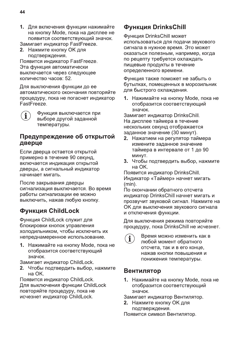1. Для включения функции нажимайте на кнопку Mode, пока на дисплее не появится соответствующий значок.

Замигает индикатор FastFreeze.

2. Нажмите кнопку ОК для подтверждения.

Появится индикатор FastFreeze. Эта функция автоматически выключается через следующее количество часов: 52.

Для выключения функции до ее автоматического окончания повторяйте процедуру, пока не погаснет индикатор FastFreeze.

 $\hat{\mathbf{I}}$ 

Функция выключается при выборе другой заданной температуры.

#### Предупреждение об открытой дверце

Если дверца остается открытой примерно в течение 90 секунд. включается индикация открытой дверцы, а сигнальный индикатор начинает мигать.

После закрывания дверцы сигнализация выключается. Во время работы сигнализации ее можно выключить, нажав любую кнопку.

## **Функция ChildLock**

Функция ChildLock служит для блокировки кнопок управления холодильником, чтобы исключить их непреднамеренное использование.

1. Нажимайте на кнопку Mode, пока не отобразится соответствующий значок.

Замигает индикатор ChildLock.

2. Чтобы подтвердить выбор, нажмите на  $OK$ 

Появится индикатор ChildLock. Для выключения функции ChildLock повторяйте процедуру, пока не исчезнет индикатор ChildLock.

## **Функция DrinksChill**

Функция DrinksChill может использоваться для подачи звукового сигнала в нужное время. Это может оказаться полезным, например, когда по рецепту требуется охлаждать пищевые продукты в течение определенного времени.

Функция также поможет не забыть о бутылках, помещенных в морозильник для быстрого охлаждения.

1. Нажимайте на кнопку Mode, пока не отобразится соответствующий значок.

Замигает индикатор DrinksChill. На дисплее таймера в течение нескольких секунд отображается заданное значение (30 минут).

- 2. Нажатием на регулятор таймера измените заданное значение таймера в интервале от 1 до 90 минут.
- 3. Чтобы подтвердить выбор, нажмите на ОК.

Появится индикатор DrinksChill. Индикатор «Таймер» начнет мигать  $(min).$ 

По окончании обратного отсчета индикатор DrinksChill начнет мигать и прозвучит звуковой сигнал. Нажмите на ОК для выключения звукового сигнала и отключения функции.

Для выключения режима повторяйте процедуру, пока DrinksChill не исчезнет.

 $\begin{bmatrix} 1 \\ 1 \end{bmatrix}$ 

Время можно изменить как в любой момент обратного отсчета, так и в его конце, нажав кнопки повышения и понижения температуры.

#### Вентилятор

1. Нажимайте на кнопку Mode, пока не отобразится соответствующий значок.

Замигает индикатор Вентилятор.

2. Нажмите кнопку ОК для подтверждения.

Появится символ Вентилятор.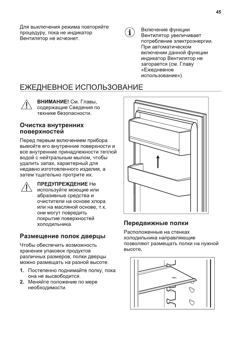Для выключения режима повторяйте процедуру, пока не индикатор Вентилятор не исчезнет.

 $\mathbf{i}$ 

Включение функции Вентилятор увеличивает потребление электроэнергии. При автоматическом включении данной функции индикатор Вентилятор не загорается (см. Главу «Ежедневное использование»).

## ЕЖЕДНЕВНОЕ ИСПОЛЬЗОВАНИЕ



ВНИМАНИЕ! См. Главы, содержащие Сведения по технике безопасности.

#### Очистка внутренних поверхностей

Перед первым включением прибора вымойте его внутренние поверхности и все внутренние принадлежности теплой водой с нейтральным мылом, чтобы удалить запах, характерный для недавно изготовленного изделия, а затем тщательно протрите их.



**ПРЕДУПРЕЖДЕНИЕ Не** используйте моющие или абразивные средства и очистители на основе хлора или на масляной основе, т.к. они могут повредить покрытие поверхностей холодильника.

## Размещение полок дверцы

Чтобы обеспечить возможность хранения упаковок продуктов различных размеров, полки дверцы можно размещать на разной высоте.

- 1. Постепенно поднимайте полку, пока она не высвободится.
- 2. Меняйте положение по мере необходимости.



## Передвижные полки

Расположенные на стенках холодильника направляющие позволяют размещать полки на нужной высоте.

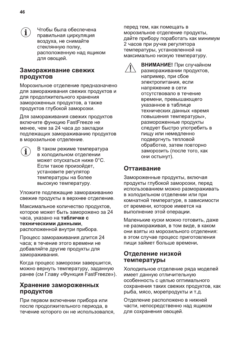Чтобы была обеспечена правильная циркуляция воздуха, не снимайте стеклянную полку, расположенную над ящиком для овощей.

#### Замораживание свежих продуктов

Морозильное отделение предназначено для замораживания свежих продуктов и для продолжительного хранения замороженных продуктов, а также продуктов глубокой заморозки.

Для замораживания свежих продуктов включите функцию FastFreeze не менее, чем за 24 часа до закладки подлежащих замораживанию продуктов в морозильное отделение.

В таком режиме температура в холодильном отделении может опускаться ниже 0°С. Если такое произойдет, установите регулятор температуры на более высокую температуру.

Уложите подлежащие замораживанию свежие продукты в верхнее отделение.

Максимальное количество продуктов. которое может быть заморожено за 24 часа, указано на табличке с техническими данными. расположенной внутри прибора.

Процесс замораживания длится 24 часа; в течение этого времени не добавляйте другие продукты для замораживания.

Когда процесс заморозки завершится, можно вернуть температуру, заданную ранее (см Главу «Функция FastFreeze»).

#### Хранение замороженных **ПРОДУКТОВ**

При первом включении прибора или после продолжительного периода, в течение которого он не использовался, перед тем, как помещать в морозильное отделение продукты, дайте прибору поработать как минимум 2 часов при ручке регулятора температуры, установленной на максимально низкую температуру.

> ВНИМАНИЕ! При случайном размораживании продуктов, например, при сбое электропитания, если напряжение в сети отсутствовало в течение времени, превышающего указанное в таблице технических данных «время повышения температуры», размороженные продукты следует быстро употребить в пищу или немедленно подвергнуть тепловой обработке, затем повторно заморозить (после того, как они остынут).

## Оттаивание

Замороженные продукты, включая продукты глубокой заморозки, перед использованием можно размораживать в холодильном отделении или при комнатной температуре, в зависимости от времени, которое имеется на выполнение этой операции.

Маленькие куски можно готовить, даже не размораживая, в том виде, в каком они взяты из морозильного отделения: в этом случае процесс приготовления пищи займет больше времени.

#### Отделение низкой температуры

Холодильное отделение ряда моделей имеет данную отличительную особенность с целью оптимального сохранения таких свежих продуктов, как рыба, мясо, морепродукты и т.д.

Отделение расположено в нижней части, непосредственно над ящиком для сохранения овощей.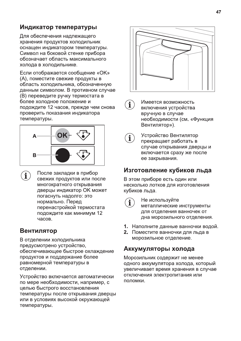## Индикатор температуры

Для обеспечения надлежащего хранения продуктов холодильник оснащен индикатором температуры. Символ на боковой стенке прибора обозначает область максимального холода в холодильнике.

Если отображается сообщение «ОК» (А), поместите свежие продукты в область холодильника, обозначенную данным символом. В противном случае (В) переведите ручку термостата в более холодное положение и подождите 12 часов, прежде чем снова проверить показания индикатора температуры.



 $\mathbf{i}$ 

После закладки в прибор свежих продуктов или после многократного открывания дверцы индикатор ОК может погаснуть надолго: это нормально. Перед перенастройкой термостата подождите как минимум 12 часов.

## Вентилятор

В отделении холодильника предусмотрено устройство, обеспечивающее быстрое охлаждение продуктов и поддержание более равномерной температуры в отделении.

Устройство включается автоматически по мере необходимости, например, с целью быстрого восстановления температуры после открывания дверцы или в условиях высокой окружающей температуры.



 $\begin{bmatrix} 1 \end{bmatrix}$ 

 $\mathbf{i}$ 

Имеется возможность включения устройства вручную в случае необходимости (см. «Функция Вентилятор»).

Устройство Вентилятор прекращает работать в случае открывания дверцы и включается сразу же после ее закрывания.

#### Изготовление кубиков льда

В этом приборе есть один или несколько лотков для изготовления кубиков льда.



Не используйте металлические инструменты для отделения ванночек от дна морозильного отделения.

- 1. Наполните данные ванночки водой.
- 2. Поместите ванночки для льда в морозильное отделение.

#### Аккумуляторы холода

Морозильник содержит не менее одного аккумулятора холода, который увеличивает время хранения в случае отключения электропитания или поломки.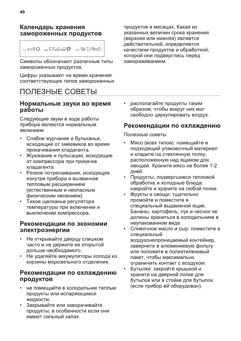$$
1.3 \nabla \mathcal{V} \nabla \mathcal{V} = 4.5 \nabla \mathcal{S} \nabla \mathcal{S} \nabla \mathcal{V} = 7.12 \nabla \mathcal{S} \nabla \mathcal{V} \nabla \mathcal{S}
$$

Символы обозначают различные типы замороженных продуктов.

Цифры указывают на время хранения соответствующих типов замороженных

## ПОЛЕЗНЫЕ СОВЕТЫ

#### Нормальные звуки во время работы

Следующие звуки в ходе работы прибора являются нормальным явлением:

- Слабое журчание и бульканье,  $\bullet$ исходящие от змеевиков во время прокачивания хладагента.
- Жужжание и пульсация, исходящие от компрессора при прокачке хладагента.
- Резкое потрескивание, исходящее изнутри прибора и вызванное тепловым расширением (естественным и неопасным физическим явлением).
- Тихое щелканье регулятора температуры при включении и выключении компрессора.

#### Рекомендации по экономии электроэнергии

- Не открывайте дверцу слишком часто и не держите ее открытой дольше необходимого.
- Не удаляйте аккумуляторы холода из корзины морозильного отделения.

### Рекомендации по охлаждению продуктов

- не помещайте в холодильник теплые продукты или испаряющиеся жидкости;
- Закрывайте или заворачивайте продукты, в особенности если они имеют сильный запах.

продуктов в месяцах. Какая из указанных величин срока хранения (верхняя или нижняя) является действительной, определяется качеством продуктов и обработкой, которой они подверглись перед замораживанием.

располагайте продукты таким образом, чтобы вокруг них мог свободно циркулировать воздух.

## Рекомендации по охлаждению

Полезные советы

- Мясо (всех типов): помещайте в подходящий упаковочный материал и кладите на стеклянную полку, расположенную над ящиком для овощей. Храните мясо не более 1-2 дней.
- Продукты, подвергшиеся тепловой обработке и холодные блюда: накройте и храните на любой полке.
- Фрукты и овощи: тщательно промойте и поместите в специальный выдвижной ящик. Бананы, картофель, лук и чеснок не должны храниться в холодильнике в неупакованном виде.
- Сливочное масло и сыр: поместите в специальный воздухонепроницаемый контейнер, заверните в алюминиевую фольгу или положите в полиэтиленовый пакет, чтобы максимально ограничить контакт с воздухом.
- Бутылки: закройте крышкой и храните на дверной полке для бутылок или в стойке для бутылок (если прибор ей оборудован).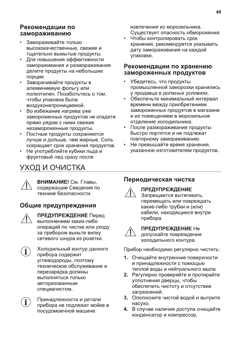### Рекомендации по замораживанию

- Замораживайте только высококачественные, свежие и тщательно вымытые продукты.
- Для повышения эффективности замораживания и размораживания делите продукты на небольшие порции.
- Заворачивайте продукты в алюминиевую фольгу или полиэтилен. Позаботьтесь о том, чтобы упаковка была воздухонепроницаемой.
- Во избежание нагрева уже замороженных продуктов не кладите прямо рядом с ними свежие незамороженные продукты.
- Постные продукты сохраняются лучше и дольше, чем жирные. Соль сокращает срок хранения продуктов.
- Не употребляйте кубики льда и фруктовый лед сразу после

# УХОД И ОЧИСТКА

извлечения из морозильника. Существует опасность обморожения.

Чтобы контролировать срок хранения, рекомендуется указывать дату замораживания на каждой упаковке.

#### Рекомендации по хранению замороженных продуктов

- Убедитесь, что продукты промышленной заморозки хранились у продавца в должных условиях.
- Обеспечьте минимальный интервал времени между приобретением замороженных продуктов в магазине и их помещением в морозильное отделение холодильника.
- После размораживания продукты быстро портятся и не подлежат повторному замораживанию.
- Не превышайте время хранения, указанное изготовителем продуктов.



ВНИМАНИЕ! См. Главы, содержащие Сведения по технике безопасности.

## Общие предупреждения



**ПРЕДУПРЕЖДЕНИЕ** Перед выполнением каких-либо операций по чистке или уходу за прибором выньте вилку сетевого шнура из розетки.



Холодильный контур данного прибора содержит углеводороды, поэтому техническое обслуживание и перезарядка должны выполняться только авторизованным специалистом.



Принадлежности и детали прибора не подлежат мойке в посудомоечной машине.

## Периодическая чистка



#### **ПРЕДУПРЕЖДЕНИЕ**

Запрещается вытягивать, перемещать или повреждать какие-либо трубки и (или) кабели, находящиеся внутри прибора.



**ПРЕДУПРЕЖДЕНИЕ Не** 

допускайте повреждения холодильного контура.

Прибор необходимо регулярно чистить:

- 1. Очищайте внутренние поверхности и принадлежности с помощью теплой воды и нейтрального мыла.
- 2. Регулярно проверяйте и протирайте уплотнения дверцы, чтобы обеспечить чистоту и отсутствие загрязнений.
- 3. Ополосните чистой водой и вытрите насухо.
- 4. В случае наличия доступа очищайте конденсатор и компрессор,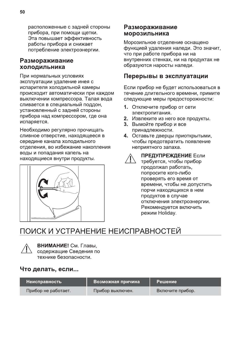расположенные с задней стороны прибора, при помощи щетки. Эта повышает эффективность работы прибора и снижает потребление электроэнергии.

#### Размораживание холодильника

При нормальных условиях эксплуатации удаление инея с испарителя холодильной камеры происходит автоматически при каждом выключении компрессора. Талая вода сливается в специальный поддон, установленный с задней стороны прибора над компрессором, где она испаряется.

Необходимо регулярно прочищать сливное отверстие, находящееся в середине канала холодильного отделения, во избежание накопления воды и попадания капель на находящиеся внутри продукты.



#### Размораживание морозильника

Морозильное отделение оснащено функцией удаления наледи. Это значит, что при работе прибора ни на внутренних стенках, ни на продуктах не образуются наросты наледи.

### Перерывы в эксплуатации

Если прибор не будет использоваться в течение длительного времени, примите следующие меры предосторожности:

- 1. Отключите прибор от сети электропитания.
- 2. Извлеките из него все продукты.
- 3. Вымойте прибор и все принадлежности.
- 4. Оставьте дверцы приоткрытыми, чтобы предотвратить появление неприятного запаха.

**ПРЕДУПРЕЖДЕНИЕ Если** требуется, чтобы прибор продолжал работать, попросите кого-либо проверять его время от времени, чтобы не допустить порчи находящихся в нем продуктов в случае отключения электроэнергии. Рекомендуется включить режим Holiday.

# ПОИСК И УСТРАНЕНИЕ НЕИСПРАВНОСТЕЙ



ВНИМАНИЕ! См. Главы, содержащие Сведения по технике безопасности.

## Что делать, если...

| Неисправность       | Возможная причина | Решение          |
|---------------------|-------------------|------------------|
| Прибор не работает. | Прибор выключен.  | Включите прибор. |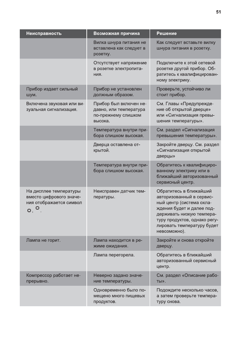| Неисправность                                                                                     | Возможная причина                                                                  | Решение                                                                                                                                                                                                                |
|---------------------------------------------------------------------------------------------------|------------------------------------------------------------------------------------|------------------------------------------------------------------------------------------------------------------------------------------------------------------------------------------------------------------------|
|                                                                                                   | Вилка шнура питания не<br>вставлена как следует в<br>розетку.                      | Как следует вставьте вилку<br>шнура питания в розетку.                                                                                                                                                                 |
|                                                                                                   | Отсутствует напряжение<br>в розетке электропита-<br>ния.                           | Подключите к этой сетевой<br>розетке другой прибор. Об-<br>ратитесь к квалифицирован-<br>ному электрику.                                                                                                               |
| Прибор издает сильный<br>шум.                                                                     | Прибор не установлен<br>должным образом.                                           | Проверьте, устойчиво ли<br>стоит прибор.                                                                                                                                                                               |
| Включена звуковая или ви-<br>зуальная сигнализация.                                               | Прибор был включен не-<br>давно, или температура<br>по-прежнему слишком<br>высока. | См. Главы «Предупрежде-<br>ние об открытой дверце»<br>или «Сигнализация превы-<br>шения температуры».                                                                                                                  |
|                                                                                                   | Температура внутри при-<br>бора слишком высокая.                                   | См. раздел «Сигнализация<br>превышения температуры».                                                                                                                                                                   |
|                                                                                                   | Дверца оставлена от-<br>крытой.                                                    | Закройте дверцу. См. раздел<br>«Сигнализация открытой<br>дверцы»                                                                                                                                                       |
|                                                                                                   | Температура внутри при-<br>бора слишком высокая.                                   | Обратитесь к квалифициро-<br>ванному электрику или в<br>ближайший авторизованный<br>сервисный центр.                                                                                                                   |
| На дисплее температуры<br>вместо цифрового значе-<br>ния отображается символ<br>$\circ$ , $\circ$ | Неисправен датчик тем-<br>пературы.                                                | Обратитесь в ближайший<br>авторизованный в сервис-<br>ный центр (система охла-<br>ждения будет и далее под-<br>держивать низкую темпера-<br>туру продуктов, однако регу-<br>лировать температуру будет<br>невозможно). |
| Лампа не горит.                                                                                   | Лампа находится в ре-<br>жиме ожидания.                                            | Закройте и снова откройте<br>дверцу.                                                                                                                                                                                   |
|                                                                                                   | Лампа перегорела.                                                                  | Обратитесь в ближайший<br>авторизованный сервисный<br>центр.                                                                                                                                                           |
| Компрессор работает не-<br>прерывно.                                                              | Неверно задано значе-<br>ние температуры.                                          | См. раздел «Описание рабо-<br>TЫ».                                                                                                                                                                                     |
|                                                                                                   | Одновременно было по-<br>мещено много пищевых<br>продуктов.                        | Подождите несколько часов,<br>а затем проверьте темпера-<br>туру снова.                                                                                                                                                |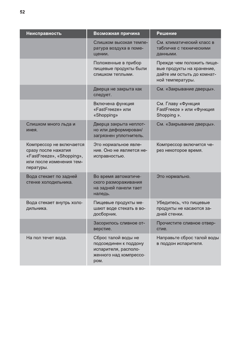| Неисправность                                                                                                         | Возможная причина                                                                                      | Решение                                                                                                  |
|-----------------------------------------------------------------------------------------------------------------------|--------------------------------------------------------------------------------------------------------|----------------------------------------------------------------------------------------------------------|
|                                                                                                                       | Слишком высокая темпе-<br>ратура воздуха в поме-<br>щении.                                             | См. климатический класс в<br>табличке с техническими<br>данными.                                         |
|                                                                                                                       | Положенные в прибор<br>пищевые продукты были<br>слишком теплыми.                                       | Прежде чем положить пище-<br>вые продукты на хранение,<br>дайте им остыть до комнат-<br>ной температуры. |
|                                                                                                                       | Дверца не закрыта как<br>следует.                                                                      | См. «Закрывание дверцы».                                                                                 |
|                                                                                                                       | Включена функция<br>«FastFreeze» или<br>«Shopping»                                                     | См. Главу «Функция<br>FastFreeze » или «Функция<br>Shopping ».                                           |
| Слишком много льда и<br>инея.                                                                                         | Дверца закрыта неплот-<br>но или деформирован/<br>загрязнен уплотнитель.                               | См. «Закрывание дверцы».                                                                                 |
| Компрессор не включается<br>сразу после нажатия<br>«FastFreeze», «Shopping»,<br>или после изменения тем-<br>пературы. | Это нормальное явле-<br>ние. Оно не является не-<br>исправностью.                                      | Компрессор включится че-<br>рез некоторое время.                                                         |
| Вода стекает по задней<br>стенке холодильника.                                                                        | Во время автоматиче-<br>ского размораживания<br>на задней панели тает<br>наледь.                       | Это нормально.                                                                                           |
| Вода стекает внутрь холо-<br>дильника.                                                                                | Пищевые продукты ме-<br>шают воде стекать в во-<br>досборник.                                          | Убедитесь, что пищевые<br>продукты не касаются за-<br>дней стенки.                                       |
|                                                                                                                       | Засорилось сливное от-<br>верстие.                                                                     | Прочистите сливное отвер-<br>стие.                                                                       |
| На пол течет вода.                                                                                                    | Сброс талой воды не<br>подсоединен к поддону<br>испарителя, располо-<br>женного над компрессо-<br>ром. | Направьте сброс талой воды<br>в поддон испарителя.                                                       |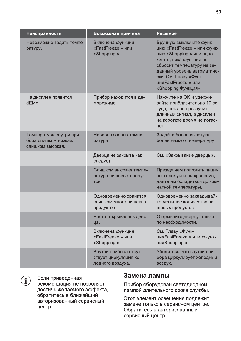| <b>Неисправность</b>                                                | Возможная причина                                                  | Решение                                                                                                                                                                                                                                          |
|---------------------------------------------------------------------|--------------------------------------------------------------------|--------------------------------------------------------------------------------------------------------------------------------------------------------------------------------------------------------------------------------------------------|
| Невозможно задать темпе-<br>ратуру.                                 | Включена функция<br>«FastFreeze » или<br>«Shopping ».              | Вручную выключите функ-<br>цию «FastFreeze » или функ-<br>цию «Shopping » или подо-<br>ждите, пока функция не<br>сбросит температуру на за-<br>данный уровень автоматиче-<br>ски. См. Главу «Функ-<br>цияFastFreeze » или<br>«Shopping Функция». |
| На дисплее появится<br>dEMo.                                        | Прибор находится в де-<br>морежиме.                                | Нажмите на ОК и удержи-<br>вайте приблизительно 10 се-<br>кунд, пока не прозвучит<br>длинный сигнал, а дисплей<br>на короткое время не погас-<br>нет.                                                                                            |
| Температура внутри при-<br>бора слишком низкая/<br>слишком высокая. | Неверно задана темпе-<br>ратура.                                   | Задайте более высокую/<br>более низкую температуру.                                                                                                                                                                                              |
|                                                                     | Дверца не закрыта как<br>следует.                                  | См. «Закрывание дверцы».                                                                                                                                                                                                                         |
|                                                                     | Слишком высокая темпе-<br>ратура пищевых продук-<br>TOB.           | Прежде чем положить пище-<br>вые продукты на хранение,<br>дайте им охладиться до ком-<br>натной температуры.                                                                                                                                     |
|                                                                     | Одновременно хранится<br>слишком много пищевых<br>продуктов.       | Одновременно закладывай-<br>те меньшее количество пи-<br>щевых продуктов.                                                                                                                                                                        |
|                                                                     | Часто открывалась двер-<br>ца.                                     | Открывайте дверцу только<br>по необходимости.                                                                                                                                                                                                    |
|                                                                     | Включена функция<br>«FastFreeze » или<br>«Shopping ».              | См. Главу «Функ-<br>цияFastFreeze » или «Функ-<br>цияShopping ».                                                                                                                                                                                 |
|                                                                     | Внутри прибора отсут-<br>ствует циркуляция хо-<br>лодного воздуха. | Убедитесь, что внутри при-<br>бора циркулирует холодный<br>воздух.                                                                                                                                                                               |



центр.

Если приведенная рекомендация не позволяет достичь желаемого эффекта, обратитесь в ближайший авторизованный сервисный

#### Замена лампы

Прибор оборудован светодиодной лампой длительного срока службы.

Этот элемент освещения подлежит замене только в сервисном центре. Обратитесь в авторизованный сервисный центр.